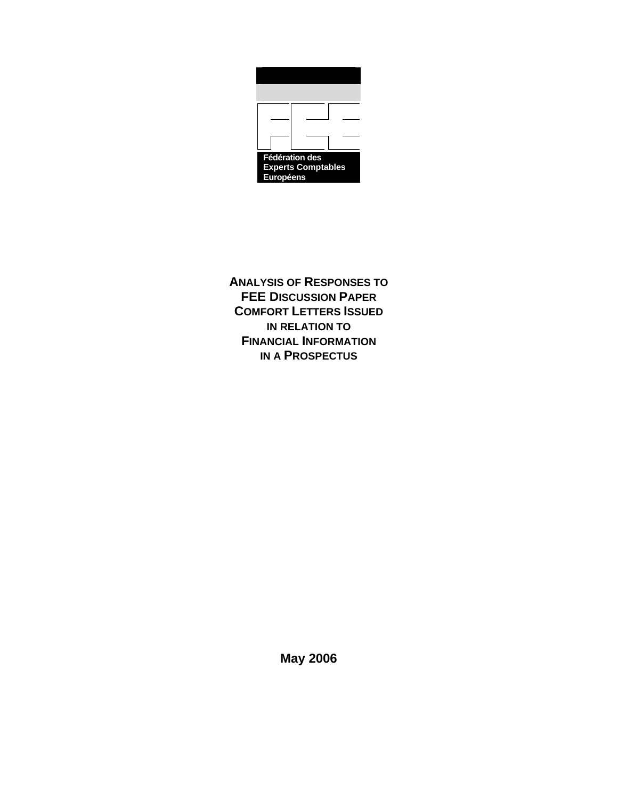

**ANALYSIS OF RESPONSES TO FEE DISCUSSION PAPER COMFORT LETTERS ISSUED IN RELATION TO FINANCIAL INFORMATION IN A PROSPECTUS**

**May 2006**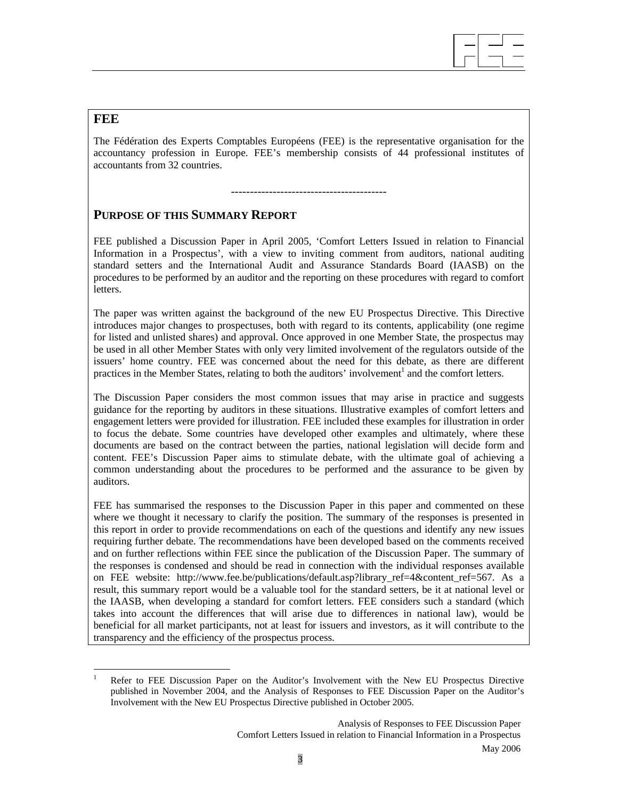

# **FEE**

l

The Fédération des Experts Comptables Européens (FEE) is the representative organisation for the accountancy profession in Europe. FEE's membership consists of 44 professional institutes of accountants from 32 countries.

## -----------------------------------------

# **PURPOSE OF THIS SUMMARY REPORT**

FEE published a Discussion Paper in April 2005, 'Comfort Letters Issued in relation to Financial Information in a Prospectus', with a view to inviting comment from auditors, national auditing standard setters and the International Audit and Assurance Standards Board (IAASB) on the procedures to be performed by an auditor and the reporting on these procedures with regard to comfort letters.

The paper was written against the background of the new EU Prospectus Directive. This Directive introduces major changes to prospectuses, both with regard to its contents, applicability (one regime for listed and unlisted shares) and approval. Once approved in one Member State, the prospectus may be used in all other Member States with only very limited involvement of the regulators outside of the issuers' home country. FEE was concerned about the need for this debate, as there are different practices in the Member States, relating to both the auditors' involvement<sup>1</sup> and the comfort letters.

The Discussion Paper considers the most common issues that may arise in practice and suggests guidance for the reporting by auditors in these situations. Illustrative examples of comfort letters and engagement letters were provided for illustration. FEE included these examples for illustration in order to focus the debate. Some countries have developed other examples and ultimately, where these documents are based on the contract between the parties, national legislation will decide form and content. FEE's Discussion Paper aims to stimulate debate, with the ultimate goal of achieving a common understanding about the procedures to be performed and the assurance to be given by auditors.

FEE has summarised the responses to the Discussion Paper in this paper and commented on these where we thought it necessary to clarify the position. The summary of the responses is presented in this report in order to provide recommendations on each of the questions and identify any new issues requiring further debate. The recommendations have been developed based on the comments received and on further reflections within FEE since the publication of the Discussion Paper. The summary of the responses is condensed and should be read in connection with the individual responses available on FEE website: http://www.fee.be/publications/default.asp?library\_ref=4&content\_ref=567. As a result, this summary report would be a valuable tool for the standard setters, be it at national level or the IAASB, when developing a standard for comfort letters. FEE considers such a standard (which takes into account the differences that will arise due to differences in national law), would be beneficial for all market participants, not at least for issuers and investors, as it will contribute to the transparency and the efficiency of the prospectus process.

<sup>1</sup> Refer to FEE Discussion Paper on the Auditor's Involvement with the New EU Prospectus Directive published in November 2004, and the Analysis of Responses to FEE Discussion Paper on the Auditor's Involvement with the New EU Prospectus Directive published in October 2005.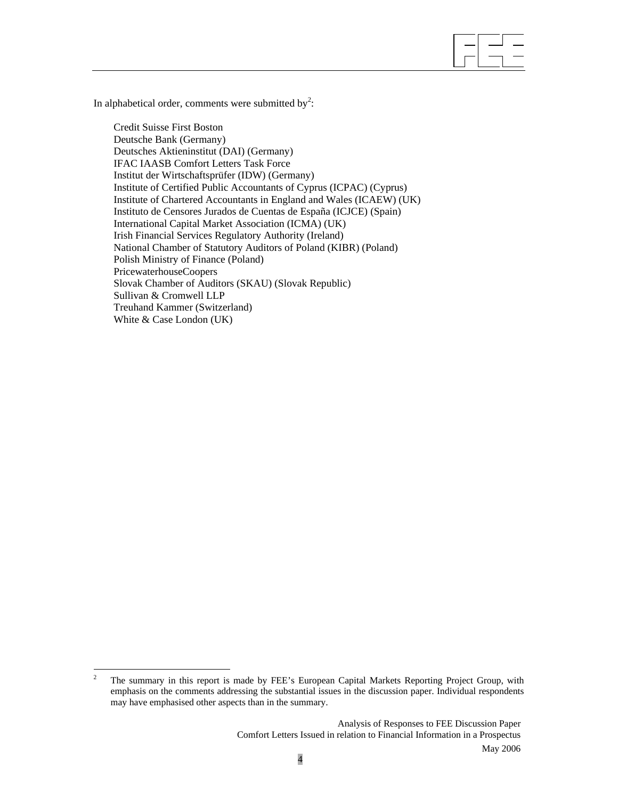In alphabetical order, comments were submitted by<sup>2</sup>:

Credit Suisse First Boston Deutsche Bank (Germany) Deutsches Aktieninstitut (DAI) (Germany) IFAC IAASB Comfort Letters Task Force Institut der Wirtschaftsprüfer (IDW) (Germany) Institute of Certified Public Accountants of Cyprus (ICPAC) (Cyprus) Institute of Chartered Accountants in England and Wales (ICAEW) (UK) Instituto de Censores Jurados de Cuentas de España (ICJCE) (Spain) International Capital Market Association (ICMA) (UK) Irish Financial Services Regulatory Authority (Ireland) National Chamber of Statutory Auditors of Poland (KIBR) (Poland) Polish Ministry of Finance (Poland) PricewaterhouseCoopers Slovak Chamber of Auditors (SKAU) (Slovak Republic) Sullivan & Cromwell LLP Treuhand Kammer (Switzerland) White & Case London (UK)

 $\overline{a}$ 

 $\frac{1}{2}$  The summary in this report is made by FEE's European Capital Markets Reporting Project Group, with emphasis on the comments addressing the substantial issues in the discussion paper. Individual respondents may have emphasised other aspects than in the summary.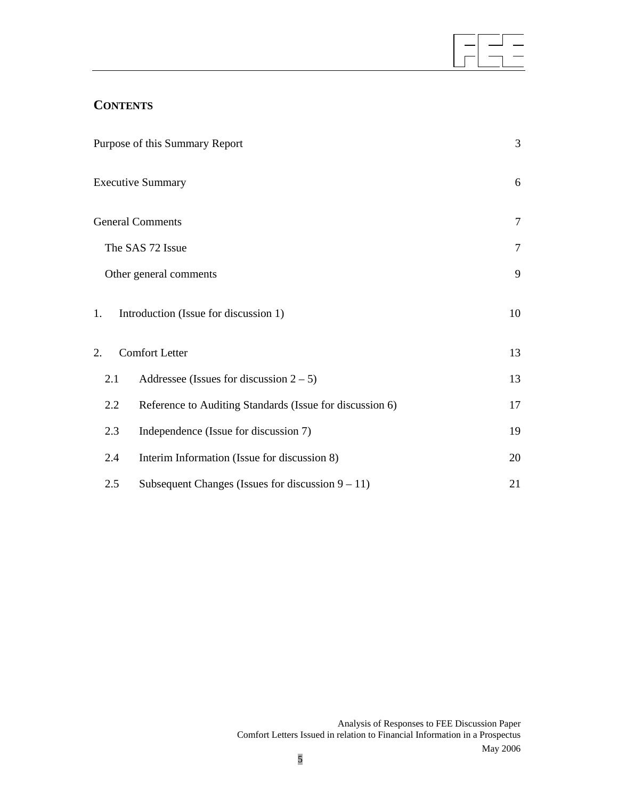# **CONTENTS**

|                        | Purpose of this Summary Report                           | $\overline{3}$ |
|------------------------|----------------------------------------------------------|----------------|
|                        | <b>Executive Summary</b>                                 | 6              |
|                        | <b>General Comments</b>                                  | $\tau$         |
|                        | The SAS 72 Issue                                         | $\overline{7}$ |
| Other general comments |                                                          | 9              |
| 1.                     | Introduction (Issue for discussion 1)                    | 10             |
| 2.                     | <b>Comfort Letter</b>                                    | 13             |
| 2.1                    | Addressee (Issues for discussion $2-5$ )                 | 13             |
| 2.2                    | Reference to Auditing Standards (Issue for discussion 6) | 17             |
| 2.3                    | Independence (Issue for discussion 7)                    | 19             |
| 2.4                    | Interim Information (Issue for discussion 8)             | 20             |
| 2.5                    | Subsequent Changes (Issues for discussion $9 - 11$ )     | 21             |

 $\overline{a}$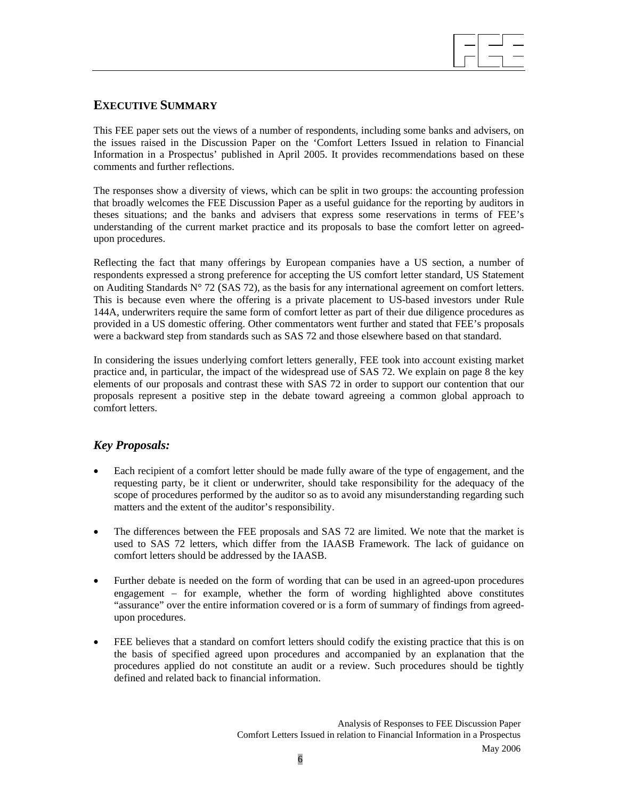

# **EXECUTIVE SUMMARY**

This FEE paper sets out the views of a number of respondents, including some banks and advisers, on the issues raised in the Discussion Paper on the 'Comfort Letters Issued in relation to Financial Information in a Prospectus' published in April 2005. It provides recommendations based on these comments and further reflections.

The responses show a diversity of views, which can be split in two groups: the accounting profession that broadly welcomes the FEE Discussion Paper as a useful guidance for the reporting by auditors in theses situations; and the banks and advisers that express some reservations in terms of FEE's understanding of the current market practice and its proposals to base the comfort letter on agreedupon procedures.

Reflecting the fact that many offerings by European companies have a US section, a number of respondents expressed a strong preference for accepting the US comfort letter standard, US Statement on Auditing Standards N° 72 (SAS 72), as the basis for any international agreement on comfort letters. This is because even where the offering is a private placement to US-based investors under Rule 144A, underwriters require the same form of comfort letter as part of their due diligence procedures as provided in a US domestic offering. Other commentators went further and stated that FEE's proposals were a backward step from standards such as SAS 72 and those elsewhere based on that standard.

In considering the issues underlying comfort letters generally, FEE took into account existing market practice and, in particular, the impact of the widespread use of SAS 72. We explain on page 8 the key elements of our proposals and contrast these with SAS 72 in order to support our contention that our proposals represent a positive step in the debate toward agreeing a common global approach to comfort letters.

# *Key Proposals:*

- Each recipient of a comfort letter should be made fully aware of the type of engagement, and the requesting party, be it client or underwriter, should take responsibility for the adequacy of the scope of procedures performed by the auditor so as to avoid any misunderstanding regarding such matters and the extent of the auditor's responsibility.
- The differences between the FEE proposals and SAS 72 are limited. We note that the market is used to SAS 72 letters, which differ from the IAASB Framework. The lack of guidance on comfort letters should be addressed by the IAASB.
- Further debate is needed on the form of wording that can be used in an agreed-upon procedures engagement – for example, whether the form of wording highlighted above constitutes "assurance" over the entire information covered or is a form of summary of findings from agreedupon procedures.
- FEE believes that a standard on comfort letters should codify the existing practice that this is on the basis of specified agreed upon procedures and accompanied by an explanation that the procedures applied do not constitute an audit or a review. Such procedures should be tightly defined and related back to financial information.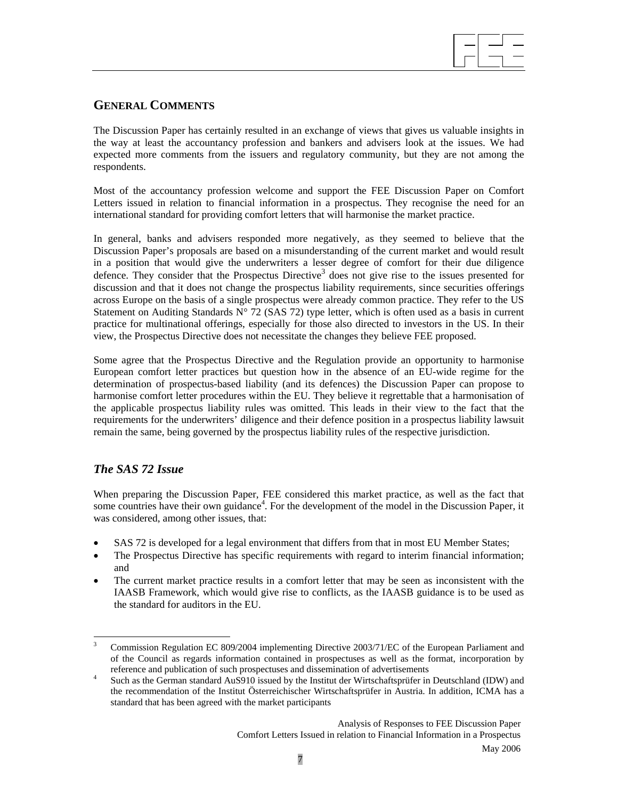

# **GENERAL COMMENTS**

The Discussion Paper has certainly resulted in an exchange of views that gives us valuable insights in the way at least the accountancy profession and bankers and advisers look at the issues. We had expected more comments from the issuers and regulatory community, but they are not among the respondents.

Most of the accountancy profession welcome and support the FEE Discussion Paper on Comfort Letters issued in relation to financial information in a prospectus. They recognise the need for an international standard for providing comfort letters that will harmonise the market practice.

In general, banks and advisers responded more negatively, as they seemed to believe that the Discussion Paper's proposals are based on a misunderstanding of the current market and would result in a position that would give the underwriters a lesser degree of comfort for their due diligence defence. They consider that the Prospectus Directive<sup>3</sup> does not give rise to the issues presented for discussion and that it does not change the prospectus liability requirements, since securities offerings across Europe on the basis of a single prospectus were already common practice. They refer to the US Statement on Auditing Standards  $N^{\circ}$  72 (SAS 72) type letter, which is often used as a basis in current practice for multinational offerings, especially for those also directed to investors in the US. In their view, the Prospectus Directive does not necessitate the changes they believe FEE proposed.

Some agree that the Prospectus Directive and the Regulation provide an opportunity to harmonise European comfort letter practices but question how in the absence of an EU-wide regime for the determination of prospectus-based liability (and its defences) the Discussion Paper can propose to harmonise comfort letter procedures within the EU. They believe it regrettable that a harmonisation of the applicable prospectus liability rules was omitted. This leads in their view to the fact that the requirements for the underwriters' diligence and their defence position in a prospectus liability lawsuit remain the same, being governed by the prospectus liability rules of the respective jurisdiction.

# *The SAS 72 Issue*

When preparing the Discussion Paper, FEE considered this market practice, as well as the fact that some countries have their own guidance<sup>4</sup>. For the development of the model in the Discussion Paper, it was considered, among other issues, that:

- SAS 72 is developed for a legal environment that differs from that in most EU Member States;
- The Prospectus Directive has specific requirements with regard to interim financial information; and
- The current market practice results in a comfort letter that may be seen as inconsistent with the IAASB Framework, which would give rise to conflicts, as the IAASB guidance is to be used as the standard for auditors in the EU.

Comfort Letters Issued in relation to Financial Information in a Prospectus

 $\overline{a}$ 3 Commission Regulation EC 809/2004 implementing Directive 2003/71/EC of the European Parliament and of the Council as regards information contained in prospectuses as well as the format, incorporation by reference and publication of such prospectuses and dissemination of advertisements  $\frac{4}{3}$ . Such as the Carmen standard AnS010 issued by the Institut dar Winterhaftaniifar in

Such as the German standard AuS910 issued by the Institut der Wirtschaftsprüfer in Deutschland (IDW) and the recommendation of the Institut Österreichischer Wirtschaftsprüfer in Austria. In addition, ICMA has a standard that has been agreed with the market participants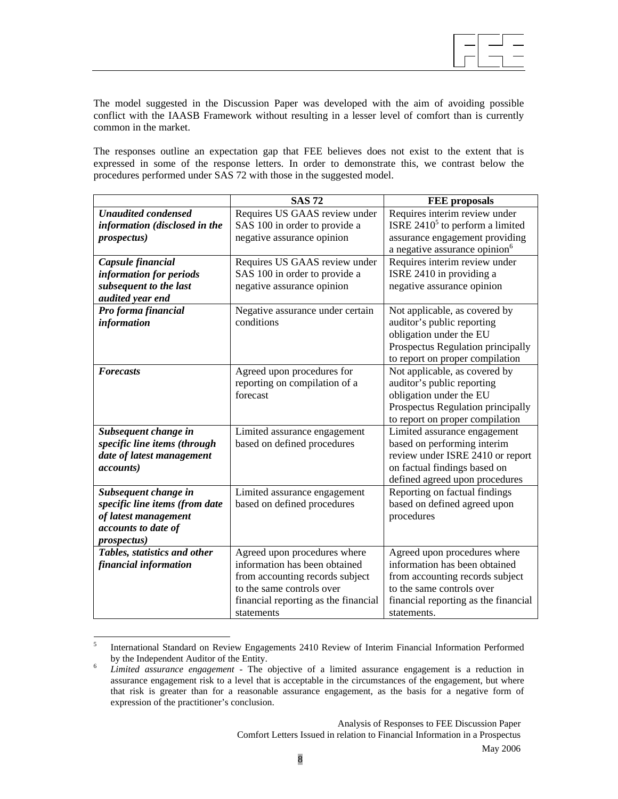

The model suggested in the Discussion Paper was developed with the aim of avoiding possible conflict with the IAASB Framework without resulting in a lesser level of comfort than is currently common in the market.

The responses outline an expectation gap that FEE believes does not exist to the extent that is expressed in some of the response letters. In order to demonstrate this, we contrast below the procedures performed under SAS 72 with those in the suggested model.

|                                | <b>SAS72</b>                         | <b>FEE</b> proposals                      |
|--------------------------------|--------------------------------------|-------------------------------------------|
| <b>Unaudited condensed</b>     | Requires US GAAS review under        | Requires interim review under             |
| information (disclosed in the  | SAS 100 in order to provide a        | ISRE $24105$ to perform a limited         |
| <i>prospectus</i> )            | negative assurance opinion           | assurance engagement providing            |
|                                |                                      | a negative assurance opinion <sup>6</sup> |
| Capsule financial              | Requires US GAAS review under        | Requires interim review under             |
| information for periods        | SAS 100 in order to provide a        | ISRE 2410 in providing a                  |
| subsequent to the last         | negative assurance opinion           | negative assurance opinion                |
| audited year end               |                                      |                                           |
| Pro forma financial            | Negative assurance under certain     | Not applicable, as covered by             |
| information                    | conditions                           | auditor's public reporting                |
|                                |                                      | obligation under the EU                   |
|                                |                                      | Prospectus Regulation principally         |
|                                |                                      | to report on proper compilation           |
| <b>Forecasts</b>               | Agreed upon procedures for           | Not applicable, as covered by             |
|                                | reporting on compilation of a        | auditor's public reporting                |
|                                | forecast                             | obligation under the EU                   |
|                                |                                      | Prospectus Regulation principally         |
|                                |                                      | to report on proper compilation           |
| Subsequent change in           | Limited assurance engagement         | Limited assurance engagement              |
| specific line items (through   | based on defined procedures          | based on performing interim               |
| date of latest management      |                                      | review under ISRE 2410 or report          |
| <i>accounts</i> )              |                                      | on factual findings based on              |
|                                |                                      | defined agreed upon procedures            |
| Subsequent change in           | Limited assurance engagement         | Reporting on factual findings             |
| specific line items (from date | based on defined procedures          | based on defined agreed upon              |
| of latest management           |                                      | procedures                                |
| accounts to date of            |                                      |                                           |
| <i>prospectus</i> )            |                                      |                                           |
| Tables, statistics and other   | Agreed upon procedures where         | Agreed upon procedures where              |
| financial information          | information has been obtained        | information has been obtained             |
|                                | from accounting records subject      | from accounting records subject           |
|                                | to the same controls over            | to the same controls over                 |
|                                | financial reporting as the financial | financial reporting as the financial      |
|                                | statements                           | statements.                               |

 5 International Standard on Review Engagements 2410 Review of Interim Financial Information Performed by the Independent Auditor of the Entity.<br> $\frac{6}{1}$  Limited, assurance, anonography. The G

*Limited assurance engagement -* The objective of a limited assurance engagement is a reduction in assurance engagement risk to a level that is acceptable in the circumstances of the engagement, but where that risk is greater than for a reasonable assurance engagement, as the basis for a negative form of expression of the practitioner's conclusion.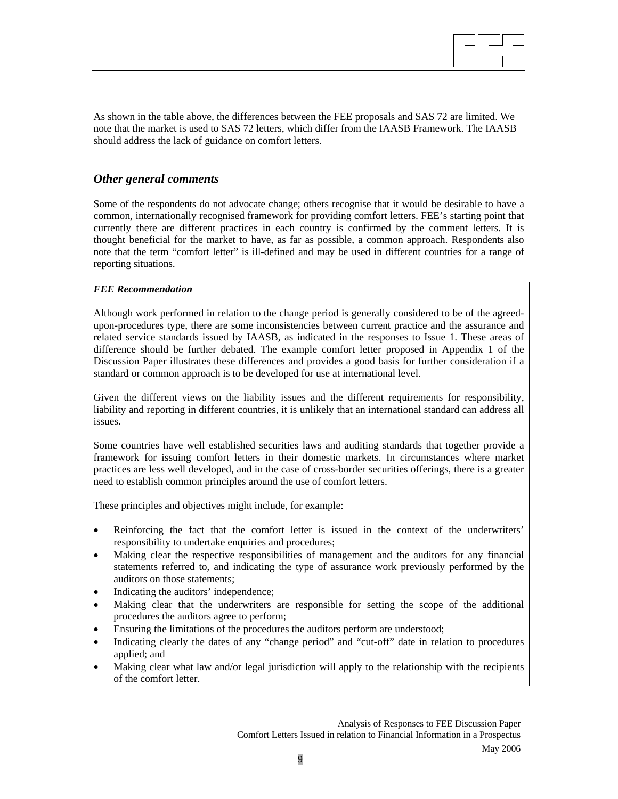$\overline{a}$ 

As shown in the table above, the differences between the FEE proposals and SAS 72 are limited. We note that the market is used to SAS 72 letters, which differ from the IAASB Framework. The IAASB should address the lack of guidance on comfort letters.

# *Other general comments*

Some of the respondents do not advocate change; others recognise that it would be desirable to have a common, internationally recognised framework for providing comfort letters. FEE's starting point that currently there are different practices in each country is confirmed by the comment letters. It is thought beneficial for the market to have, as far as possible, a common approach. Respondents also note that the term "comfort letter" is ill-defined and may be used in different countries for a range of reporting situations.

## *FEE Recommendation*

Although work performed in relation to the change period is generally considered to be of the agreedupon-procedures type, there are some inconsistencies between current practice and the assurance and related service standards issued by IAASB, as indicated in the responses to Issue 1. These areas of difference should be further debated. The example comfort letter proposed in Appendix 1 of the Discussion Paper illustrates these differences and provides a good basis for further consideration if a standard or common approach is to be developed for use at international level.

Given the different views on the liability issues and the different requirements for responsibility, liability and reporting in different countries, it is unlikely that an international standard can address all issues.

Some countries have well established securities laws and auditing standards that together provide a framework for issuing comfort letters in their domestic markets. In circumstances where market practices are less well developed, and in the case of cross-border securities offerings, there is a greater need to establish common principles around the use of comfort letters.

These principles and objectives might include, for example:

- Reinforcing the fact that the comfort letter is issued in the context of the underwriters' responsibility to undertake enquiries and procedures;
- Making clear the respective responsibilities of management and the auditors for any financial statements referred to, and indicating the type of assurance work previously performed by the auditors on those statements;
- Indicating the auditors' independence;
- Making clear that the underwriters are responsible for setting the scope of the additional procedures the auditors agree to perform;
- Ensuring the limitations of the procedures the auditors perform are understood;
- Indicating clearly the dates of any "change period" and "cut-off" date in relation to procedures applied; and
- Making clear what law and/or legal jurisdiction will apply to the relationship with the recipients of the comfort letter.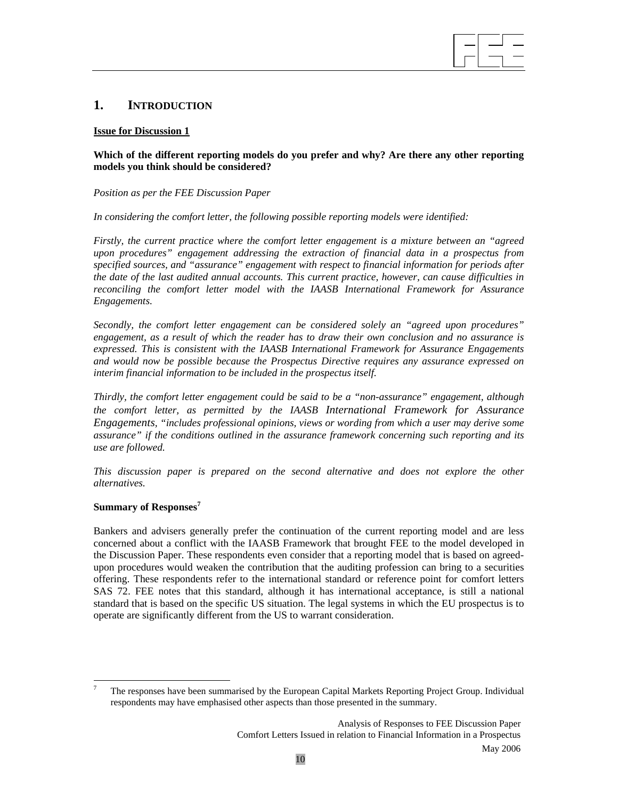# **1. INTRODUCTION**

## **Issue for Discussion 1**

## **Which of the different reporting models do you prefer and why? Are there any other reporting models you think should be considered?**

 $\overline{a}$ 

## *Position as per the FEE Discussion Paper*

*In considering the comfort letter, the following possible reporting models were identified:* 

*Firstly, the current practice where the comfort letter engagement is a mixture between an "agreed upon procedures" engagement addressing the extraction of financial data in a prospectus from specified sources, and "assurance" engagement with respect to financial information for periods after the date of the last audited annual accounts. This current practice, however, can cause difficulties in reconciling the comfort letter model with the IAASB International Framework for Assurance Engagements.* 

*Secondly, the comfort letter engagement can be considered solely an "agreed upon procedures" engagement, as a result of which the reader has to draw their own conclusion and no assurance is expressed. This is consistent with the IAASB International Framework for Assurance Engagements and would now be possible because the Prospectus Directive requires any assurance expressed on interim financial information to be included in the prospectus itself.* 

*Thirdly, the comfort letter engagement could be said to be a "non-assurance" engagement, although the comfort letter, as permitted by the IAASB International Framework for Assurance Engagements, "includes professional opinions, views or wording from which a user may derive some assurance" if the conditions outlined in the assurance framework concerning such reporting and its use are followed.* 

*This discussion paper is prepared on the second alternative and does not explore the other alternatives.* 

## **Summary of Responses<sup>7</sup>**

l

Bankers and advisers generally prefer the continuation of the current reporting model and are less concerned about a conflict with the IAASB Framework that brought FEE to the model developed in the Discussion Paper. These respondents even consider that a reporting model that is based on agreedupon procedures would weaken the contribution that the auditing profession can bring to a securities offering. These respondents refer to the international standard or reference point for comfort letters SAS 72. FEE notes that this standard, although it has international acceptance, is still a national standard that is based on the specific US situation. The legal systems in which the EU prospectus is to operate are significantly different from the US to warrant consideration.

<sup>7</sup> The responses have been summarised by the European Capital Markets Reporting Project Group. Individual respondents may have emphasised other aspects than those presented in the summary.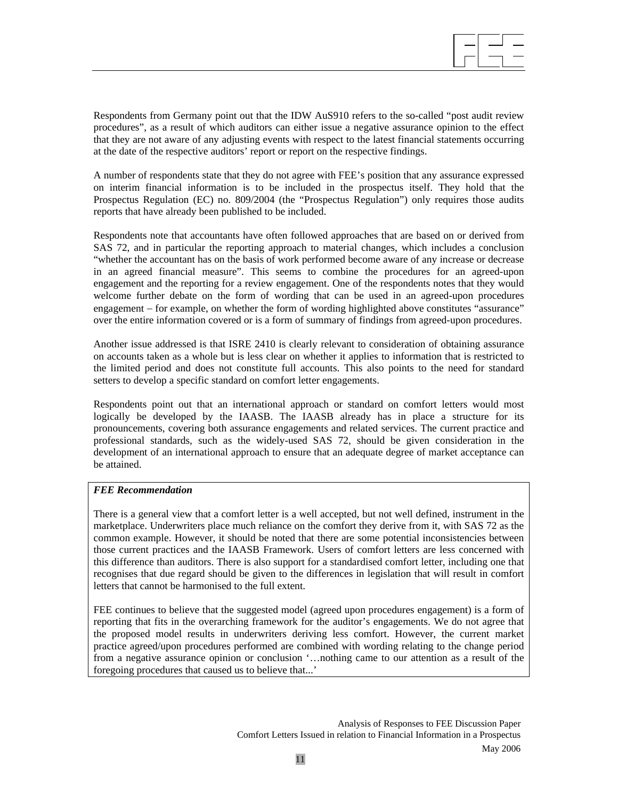

Respondents from Germany point out that the IDW AuS910 refers to the so-called "post audit review procedures", as a result of which auditors can either issue a negative assurance opinion to the effect that they are not aware of any adjusting events with respect to the latest financial statements occurring at the date of the respective auditors' report or report on the respective findings.

A number of respondents state that they do not agree with FEE's position that any assurance expressed on interim financial information is to be included in the prospectus itself. They hold that the Prospectus Regulation (EC) no. 809/2004 (the "Prospectus Regulation") only requires those audits reports that have already been published to be included.

Respondents note that accountants have often followed approaches that are based on or derived from SAS 72, and in particular the reporting approach to material changes, which includes a conclusion "whether the accountant has on the basis of work performed become aware of any increase or decrease in an agreed financial measure". This seems to combine the procedures for an agreed-upon engagement and the reporting for a review engagement. One of the respondents notes that they would welcome further debate on the form of wording that can be used in an agreed-upon procedures engagement − for example, on whether the form of wording highlighted above constitutes "assurance" over the entire information covered or is a form of summary of findings from agreed-upon procedures.

Another issue addressed is that ISRE 2410 is clearly relevant to consideration of obtaining assurance on accounts taken as a whole but is less clear on whether it applies to information that is restricted to the limited period and does not constitute full accounts. This also points to the need for standard setters to develop a specific standard on comfort letter engagements.

Respondents point out that an international approach or standard on comfort letters would most logically be developed by the IAASB. The IAASB already has in place a structure for its pronouncements, covering both assurance engagements and related services. The current practice and professional standards, such as the widely-used SAS 72, should be given consideration in the development of an international approach to ensure that an adequate degree of market acceptance can be attained.

# *FEE Recommendation*

There is a general view that a comfort letter is a well accepted, but not well defined, instrument in the marketplace. Underwriters place much reliance on the comfort they derive from it, with SAS 72 as the common example. However, it should be noted that there are some potential inconsistencies between those current practices and the IAASB Framework. Users of comfort letters are less concerned with this difference than auditors. There is also support for a standardised comfort letter, including one that recognises that due regard should be given to the differences in legislation that will result in comfort letters that cannot be harmonised to the full extent.

FEE continues to believe that the suggested model (agreed upon procedures engagement) is a form of reporting that fits in the overarching framework for the auditor's engagements. We do not agree that the proposed model results in underwriters deriving less comfort. However, the current market practice agreed/upon procedures performed are combined with wording relating to the change period from a negative assurance opinion or conclusion '…nothing came to our attention as a result of the foregoing procedures that caused us to believe that...'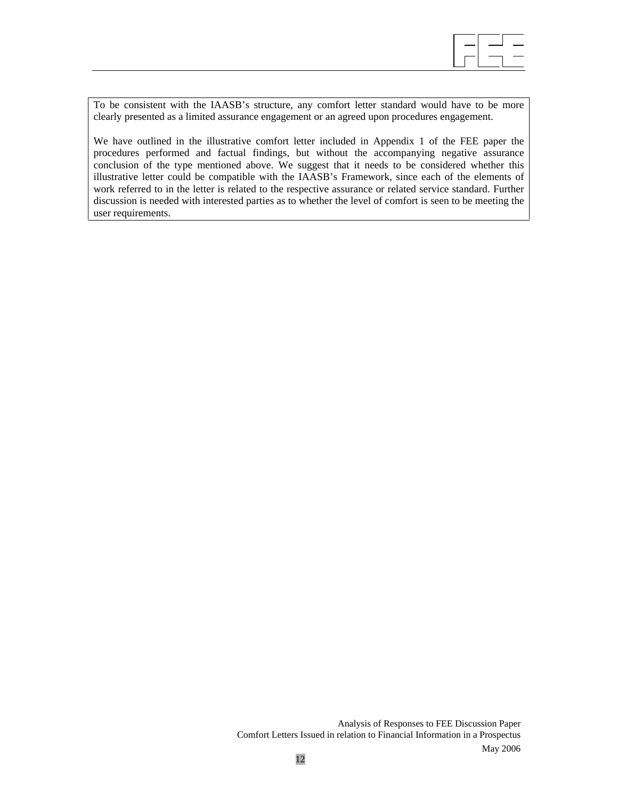

To be consistent with the IAASB's structure, any comfort letter standard would have to be more clearly presented as a limited assurance engagement or an agreed upon procedures engagement.

We have outlined in the illustrative comfort letter included in Appendix 1 of the FEE paper the procedures performed and factual findings, but without the accompanying negative assurance conclusion of the type mentioned above. We suggest that it needs to be considered whether this illustrative letter could be compatible with the IAASB's Framework, since each of the elements of work referred to in the letter is related to the respective assurance or related service standard. Further discussion is needed with interested parties as to whether the level of comfort is seen to be meeting the user requirements.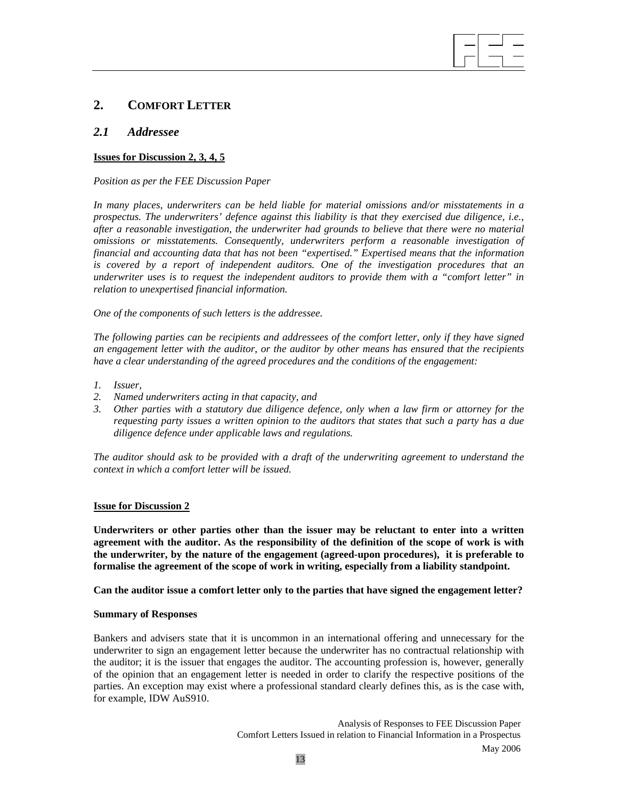# **2. COMFORT LETTER**

## *2.1 Addressee*

## **Issues for Discussion 2, 3, 4, 5**

*Position as per the FEE Discussion Paper* 

*In many places, underwriters can be held liable for material omissions and/or misstatements in a prospectus. The underwriters' defence against this liability is that they exercised due diligence, i.e., after a reasonable investigation, the underwriter had grounds to believe that there were no material omissions or misstatements. Consequently, underwriters perform a reasonable investigation of financial and accounting data that has not been "expertised." Expertised means that the information is covered by a report of independent auditors. One of the investigation procedures that an underwriter uses is to request the independent auditors to provide them with a "comfort letter" in relation to unexpertised financial information.* 

 $\overline{a}$ 

*One of the components of such letters is the addressee.* 

*The following parties can be recipients and addressees of the comfort letter, only if they have signed an engagement letter with the auditor, or the auditor by other means has ensured that the recipients have a clear understanding of the agreed procedures and the conditions of the engagement:* 

- *1. Issuer,*
- *2. Named underwriters acting in that capacity, and*
- *3. Other parties with a statutory due diligence defence, only when a law firm or attorney for the requesting party issues a written opinion to the auditors that states that such a party has a due diligence defence under applicable laws and regulations.*

*The auditor should ask to be provided with a draft of the underwriting agreement to understand the context in which a comfort letter will be issued.* 

#### **Issue for Discussion 2**

**Underwriters or other parties other than the issuer may be reluctant to enter into a written agreement with the auditor. As the responsibility of the definition of the scope of work is with the underwriter, by the nature of the engagement (agreed-upon procedures), it is preferable to formalise the agreement of the scope of work in writing, especially from a liability standpoint.** 

**Can the auditor issue a comfort letter only to the parties that have signed the engagement letter?** 

#### **Summary of Responses**

Bankers and advisers state that it is uncommon in an international offering and unnecessary for the underwriter to sign an engagement letter because the underwriter has no contractual relationship with the auditor; it is the issuer that engages the auditor. The accounting profession is, however, generally of the opinion that an engagement letter is needed in order to clarify the respective positions of the parties. An exception may exist where a professional standard clearly defines this, as is the case with, for example, IDW AuS910.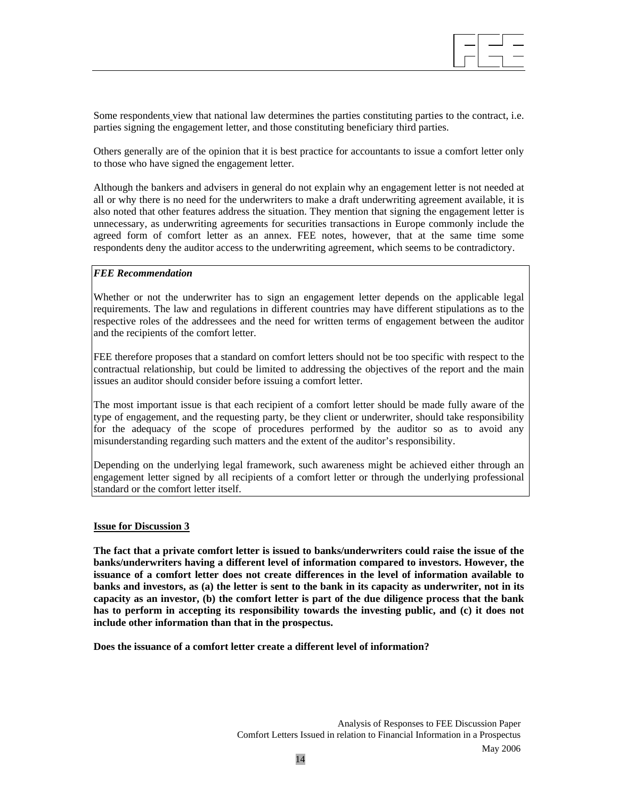

Some respondents view that national law determines the parties constituting parties to the contract, i.e. parties signing the engagement letter, and those constituting beneficiary third parties.

Others generally are of the opinion that it is best practice for accountants to issue a comfort letter only to those who have signed the engagement letter.

Although the bankers and advisers in general do not explain why an engagement letter is not needed at all or why there is no need for the underwriters to make a draft underwriting agreement available, it is also noted that other features address the situation. They mention that signing the engagement letter is unnecessary, as underwriting agreements for securities transactions in Europe commonly include the agreed form of comfort letter as an annex. FEE notes, however, that at the same time some respondents deny the auditor access to the underwriting agreement, which seems to be contradictory.

## *FEE Recommendation*

Whether or not the underwriter has to sign an engagement letter depends on the applicable legal requirements. The law and regulations in different countries may have different stipulations as to the respective roles of the addressees and the need for written terms of engagement between the auditor and the recipients of the comfort letter.

FEE therefore proposes that a standard on comfort letters should not be too specific with respect to the contractual relationship, but could be limited to addressing the objectives of the report and the main issues an auditor should consider before issuing a comfort letter.

The most important issue is that each recipient of a comfort letter should be made fully aware of the type of engagement, and the requesting party, be they client or underwriter, should take responsibility for the adequacy of the scope of procedures performed by the auditor so as to avoid any misunderstanding regarding such matters and the extent of the auditor's responsibility.

Depending on the underlying legal framework, such awareness might be achieved either through an engagement letter signed by all recipients of a comfort letter or through the underlying professional standard or the comfort letter itself.

#### **Issue for Discussion 3**

**The fact that a private comfort letter is issued to banks/underwriters could raise the issue of the banks/underwriters having a different level of information compared to investors. However, the issuance of a comfort letter does not create differences in the level of information available to banks and investors, as (a) the letter is sent to the bank in its capacity as underwriter, not in its capacity as an investor, (b) the comfort letter is part of the due diligence process that the bank has to perform in accepting its responsibility towards the investing public, and (c) it does not include other information than that in the prospectus.** 

**Does the issuance of a comfort letter create a different level of information?**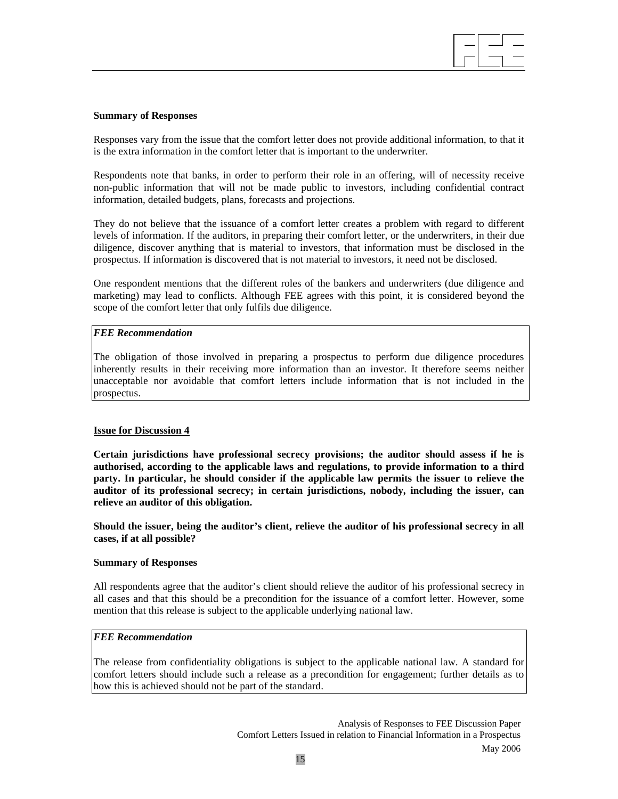### **Summary of Responses**

Responses vary from the issue that the comfort letter does not provide additional information, to that it is the extra information in the comfort letter that is important to the underwriter.

 $\overline{a}$ 

Respondents note that banks, in order to perform their role in an offering, will of necessity receive non-public information that will not be made public to investors, including confidential contract information, detailed budgets, plans, forecasts and projections.

They do not believe that the issuance of a comfort letter creates a problem with regard to different levels of information. If the auditors, in preparing their comfort letter, or the underwriters, in their due diligence, discover anything that is material to investors, that information must be disclosed in the prospectus. If information is discovered that is not material to investors, it need not be disclosed.

One respondent mentions that the different roles of the bankers and underwriters (due diligence and marketing) may lead to conflicts. Although FEE agrees with this point, it is considered beyond the scope of the comfort letter that only fulfils due diligence.

## *FEE Recommendation*

The obligation of those involved in preparing a prospectus to perform due diligence procedures inherently results in their receiving more information than an investor. It therefore seems neither unacceptable nor avoidable that comfort letters include information that is not included in the prospectus.

## **Issue for Discussion 4**

**Certain jurisdictions have professional secrecy provisions; the auditor should assess if he is authorised, according to the applicable laws and regulations, to provide information to a third party. In particular, he should consider if the applicable law permits the issuer to relieve the auditor of its professional secrecy; in certain jurisdictions, nobody, including the issuer, can relieve an auditor of this obligation.** 

**Should the issuer, being the auditor's client, relieve the auditor of his professional secrecy in all cases, if at all possible?** 

### **Summary of Responses**

All respondents agree that the auditor's client should relieve the auditor of his professional secrecy in all cases and that this should be a precondition for the issuance of a comfort letter. However, some mention that this release is subject to the applicable underlying national law.

## *FEE Recommendation*

The release from confidentiality obligations is subject to the applicable national law. A standard for comfort letters should include such a release as a precondition for engagement; further details as to how this is achieved should not be part of the standard.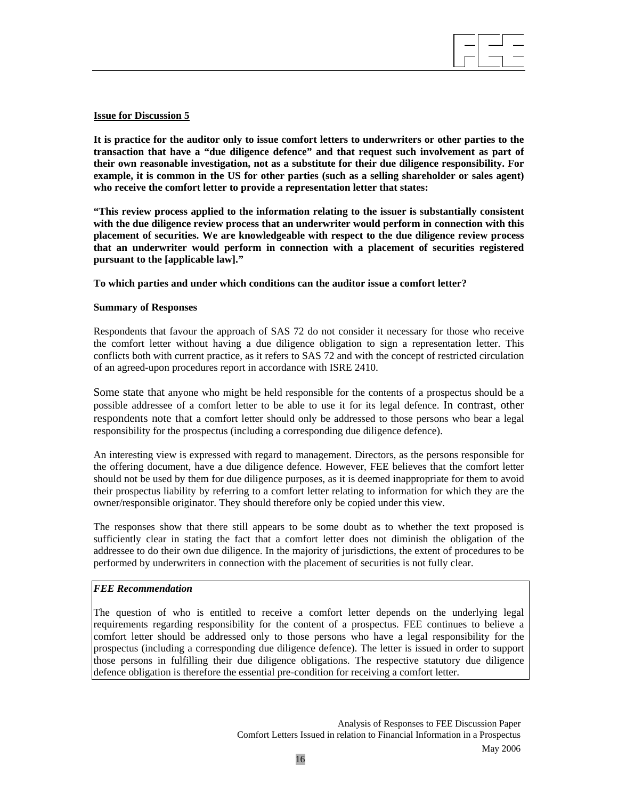## **Issue for Discussion 5**

**It is practice for the auditor only to issue comfort letters to underwriters or other parties to the transaction that have a "due diligence defence" and that request such involvement as part of their own reasonable investigation, not as a substitute for their due diligence responsibility. For example, it is common in the US for other parties (such as a selling shareholder or sales agent) who receive the comfort letter to provide a representation letter that states:** 

 $\overline{a}$ 

**"This review process applied to the information relating to the issuer is substantially consistent with the due diligence review process that an underwriter would perform in connection with this placement of securities. We are knowledgeable with respect to the due diligence review process that an underwriter would perform in connection with a placement of securities registered pursuant to the [applicable law]."** 

**To which parties and under which conditions can the auditor issue a comfort letter?** 

## **Summary of Responses**

Respondents that favour the approach of SAS 72 do not consider it necessary for those who receive the comfort letter without having a due diligence obligation to sign a representation letter. This conflicts both with current practice, as it refers to SAS 72 and with the concept of restricted circulation of an agreed-upon procedures report in accordance with ISRE 2410.

Some state that anyone who might be held responsible for the contents of a prospectus should be a possible addressee of a comfort letter to be able to use it for its legal defence. In contrast, other respondents note that a comfort letter should only be addressed to those persons who bear a legal responsibility for the prospectus (including a corresponding due diligence defence).

An interesting view is expressed with regard to management. Directors, as the persons responsible for the offering document, have a due diligence defence. However, FEE believes that the comfort letter should not be used by them for due diligence purposes, as it is deemed inappropriate for them to avoid their prospectus liability by referring to a comfort letter relating to information for which they are the owner/responsible originator. They should therefore only be copied under this view.

The responses show that there still appears to be some doubt as to whether the text proposed is sufficiently clear in stating the fact that a comfort letter does not diminish the obligation of the addressee to do their own due diligence. In the majority of jurisdictions, the extent of procedures to be performed by underwriters in connection with the placement of securities is not fully clear.

## *FEE Recommendation*

The question of who is entitled to receive a comfort letter depends on the underlying legal requirements regarding responsibility for the content of a prospectus. FEE continues to believe a comfort letter should be addressed only to those persons who have a legal responsibility for the prospectus (including a corresponding due diligence defence). The letter is issued in order to support those persons in fulfilling their due diligence obligations. The respective statutory due diligence defence obligation is therefore the essential pre-condition for receiving a comfort letter.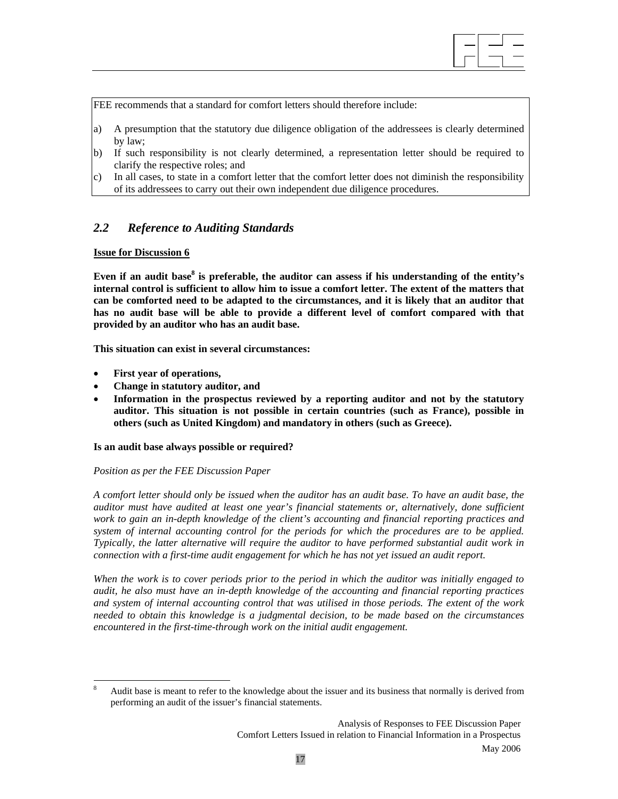

FEE recommends that a standard for comfort letters should therefore include:

- a) A presumption that the statutory due diligence obligation of the addressees is clearly determined by law;
- b) If such responsibility is not clearly determined, a representation letter should be required to clarify the respective roles; and
- c) In all cases, to state in a comfort letter that the comfort letter does not diminish the responsibility of its addressees to carry out their own independent due diligence procedures.

# *2.2 Reference to Auditing Standards*

## **Issue for Discussion 6**

Even if an audit base<sup>8</sup> is preferable, the auditor can assess if his understanding of the entity's **internal control is sufficient to allow him to issue a comfort letter. The extent of the matters that can be comforted need to be adapted to the circumstances, and it is likely that an auditor that has no audit base will be able to provide a different level of comfort compared with that provided by an auditor who has an audit base.** 

**This situation can exist in several circumstances:** 

- **First year of operations,**
- **Change in statutory auditor, and**
- **Information in the prospectus reviewed by a reporting auditor and not by the statutory auditor. This situation is not possible in certain countries (such as France), possible in others (such as United Kingdom) and mandatory in others (such as Greece).**

#### **Is an audit base always possible or required?**

#### *Position as per the FEE Discussion Paper*

*A comfort letter should only be issued when the auditor has an audit base. To have an audit base, the auditor must have audited at least one year's financial statements or, alternatively, done sufficient work to gain an in-depth knowledge of the client's accounting and financial reporting practices and system of internal accounting control for the periods for which the procedures are to be applied. Typically, the latter alternative will require the auditor to have performed substantial audit work in connection with a first-time audit engagement for which he has not yet issued an audit report.* 

*When the work is to cover periods prior to the period in which the auditor was initially engaged to audit, he also must have an in-depth knowledge of the accounting and financial reporting practices and system of internal accounting control that was utilised in those periods. The extent of the work needed to obtain this knowledge is a judgmental decision, to be made based on the circumstances encountered in the first-time-through work on the initial audit engagement.* 

 8 Audit base is meant to refer to the knowledge about the issuer and its business that normally is derived from performing an audit of the issuer's financial statements.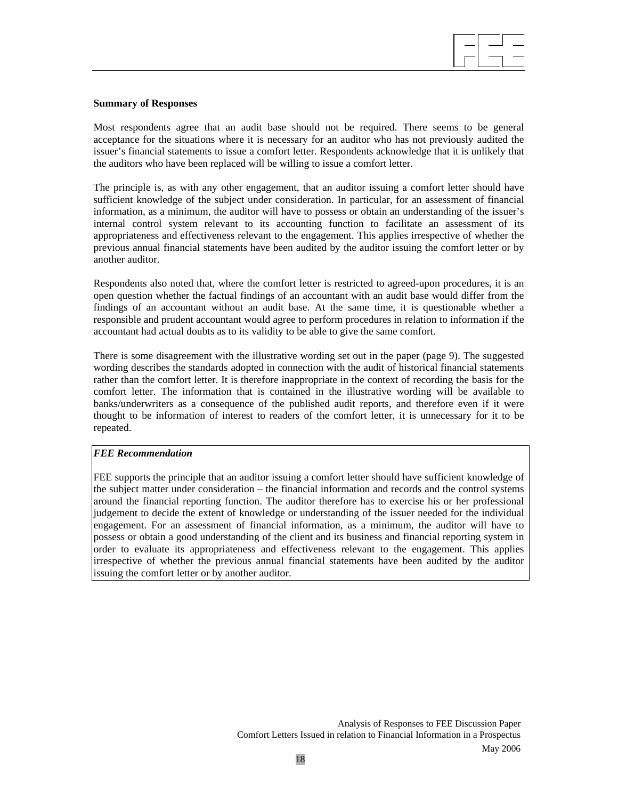

## **Summary of Responses**

Most respondents agree that an audit base should not be required. There seems to be general acceptance for the situations where it is necessary for an auditor who has not previously audited the issuer's financial statements to issue a comfort letter. Respondents acknowledge that it is unlikely that the auditors who have been replaced will be willing to issue a comfort letter.

The principle is, as with any other engagement, that an auditor issuing a comfort letter should have sufficient knowledge of the subject under consideration. In particular, for an assessment of financial information, as a minimum, the auditor will have to possess or obtain an understanding of the issuer's internal control system relevant to its accounting function to facilitate an assessment of its appropriateness and effectiveness relevant to the engagement. This applies irrespective of whether the previous annual financial statements have been audited by the auditor issuing the comfort letter or by another auditor.

Respondents also noted that, where the comfort letter is restricted to agreed-upon procedures, it is an open question whether the factual findings of an accountant with an audit base would differ from the findings of an accountant without an audit base. At the same time, it is questionable whether a responsible and prudent accountant would agree to perform procedures in relation to information if the accountant had actual doubts as to its validity to be able to give the same comfort.

There is some disagreement with the illustrative wording set out in the paper (page 9). The suggested wording describes the standards adopted in connection with the audit of historical financial statements rather than the comfort letter. It is therefore inappropriate in the context of recording the basis for the comfort letter. The information that is contained in the illustrative wording will be available to banks/underwriters as a consequence of the published audit reports, and therefore even if it were thought to be information of interest to readers of the comfort letter, it is unnecessary for it to be repeated.

## *FEE Recommendation*

FEE supports the principle that an auditor issuing a comfort letter should have sufficient knowledge of the subject matter under consideration – the financial information and records and the control systems around the financial reporting function. The auditor therefore has to exercise his or her professional judgement to decide the extent of knowledge or understanding of the issuer needed for the individual engagement. For an assessment of financial information, as a minimum, the auditor will have to possess or obtain a good understanding of the client and its business and financial reporting system in order to evaluate its appropriateness and effectiveness relevant to the engagement. This applies irrespective of whether the previous annual financial statements have been audited by the auditor issuing the comfort letter or by another auditor.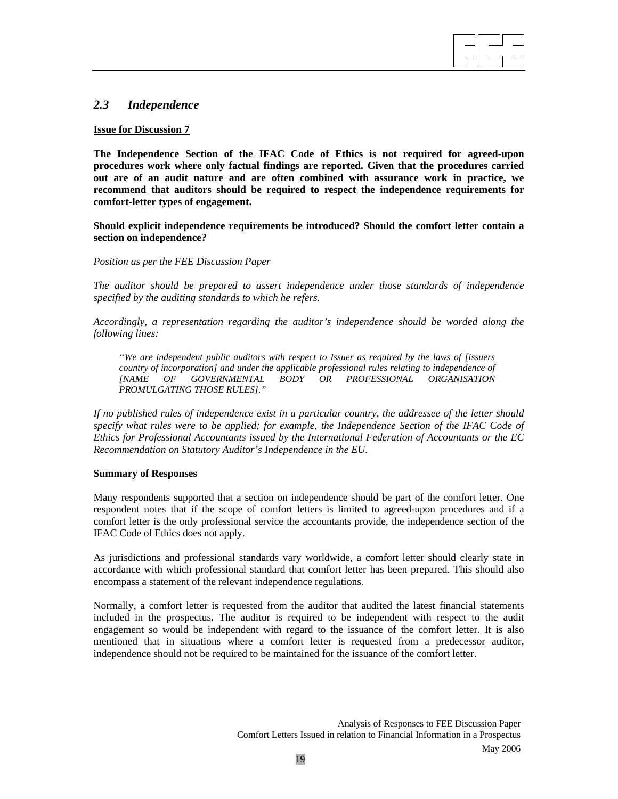# *2.3 Independence*

### **Issue for Discussion 7**

**The Independence Section of the IFAC Code of Ethics is not required for agreed-upon procedures work where only factual findings are reported. Given that the procedures carried out are of an audit nature and are often combined with assurance work in practice, we recommend that auditors should be required to respect the independence requirements for comfort-letter types of engagement.** 

 $\overline{a}$ 

**Should explicit independence requirements be introduced? Should the comfort letter contain a section on independence?** 

#### *Position as per the FEE Discussion Paper*

*The auditor should be prepared to assert independence under those standards of independence specified by the auditing standards to which he refers.* 

*Accordingly, a representation regarding the auditor's independence should be worded along the following lines:* 

 *"We are independent public auditors with respect to Issuer as required by the laws of [issuers country of incorporation] and under the applicable professional rules relating to independence of* [NAME *OF GOVERNMENTAL BODY OR PROFESSIONAL ORGANISATION [NAME OF GOVERNMENTAL BODY OR PROFESSIONAL ORGANISATION PROMULGATING THOSE RULES]."* 

*If no published rules of independence exist in a particular country, the addressee of the letter should specify what rules were to be applied; for example, the Independence Section of the IFAC Code of Ethics for Professional Accountants issued by the International Federation of Accountants or the EC Recommendation on Statutory Auditor's Independence in the EU.* 

#### **Summary of Responses**

Many respondents supported that a section on independence should be part of the comfort letter. One respondent notes that if the scope of comfort letters is limited to agreed-upon procedures and if a comfort letter is the only professional service the accountants provide, the independence section of the IFAC Code of Ethics does not apply.

As jurisdictions and professional standards vary worldwide, a comfort letter should clearly state in accordance with which professional standard that comfort letter has been prepared. This should also encompass a statement of the relevant independence regulations.

Normally, a comfort letter is requested from the auditor that audited the latest financial statements included in the prospectus. The auditor is required to be independent with respect to the audit engagement so would be independent with regard to the issuance of the comfort letter. It is also mentioned that in situations where a comfort letter is requested from a predecessor auditor, independence should not be required to be maintained for the issuance of the comfort letter.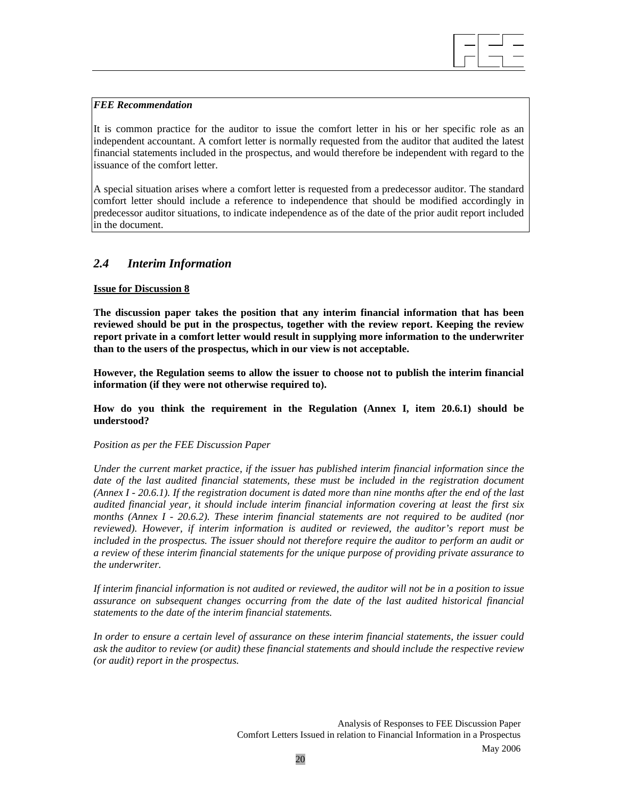### *FEE Recommendation*

It is common practice for the auditor to issue the comfort letter in his or her specific role as an independent accountant. A comfort letter is normally requested from the auditor that audited the latest financial statements included in the prospectus, and would therefore be independent with regard to the issuance of the comfort letter.

 $\overline{a}$ 

A special situation arises where a comfort letter is requested from a predecessor auditor. The standard comfort letter should include a reference to independence that should be modified accordingly in predecessor auditor situations, to indicate independence as of the date of the prior audit report included in the document.

# *2.4 Interim Information*

## **Issue for Discussion 8**

**The discussion paper takes the position that any interim financial information that has been reviewed should be put in the prospectus, together with the review report. Keeping the review report private in a comfort letter would result in supplying more information to the underwriter than to the users of the prospectus, which in our view is not acceptable.** 

**However, the Regulation seems to allow the issuer to choose not to publish the interim financial information (if they were not otherwise required to).** 

**How do you think the requirement in the Regulation (Annex I, item 20.6.1) should be understood?** 

#### *Position as per the FEE Discussion Paper*

*Under the current market practice, if the issuer has published interim financial information since the*  date of the last audited financial statements, these must be included in the registration document *(Annex I - 20.6.1). If the registration document is dated more than nine months after the end of the last audited financial year, it should include interim financial information covering at least the first six months (Annex I - 20.6.2). These interim financial statements are not required to be audited (nor reviewed). However, if interim information is audited or reviewed, the auditor's report must be included in the prospectus. The issuer should not therefore require the auditor to perform an audit or a review of these interim financial statements for the unique purpose of providing private assurance to the underwriter.* 

*If interim financial information is not audited or reviewed, the auditor will not be in a position to issue assurance on subsequent changes occurring from the date of the last audited historical financial statements to the date of the interim financial statements.* 

*In order to ensure a certain level of assurance on these interim financial statements, the issuer could ask the auditor to review (or audit) these financial statements and should include the respective review (or audit) report in the prospectus.*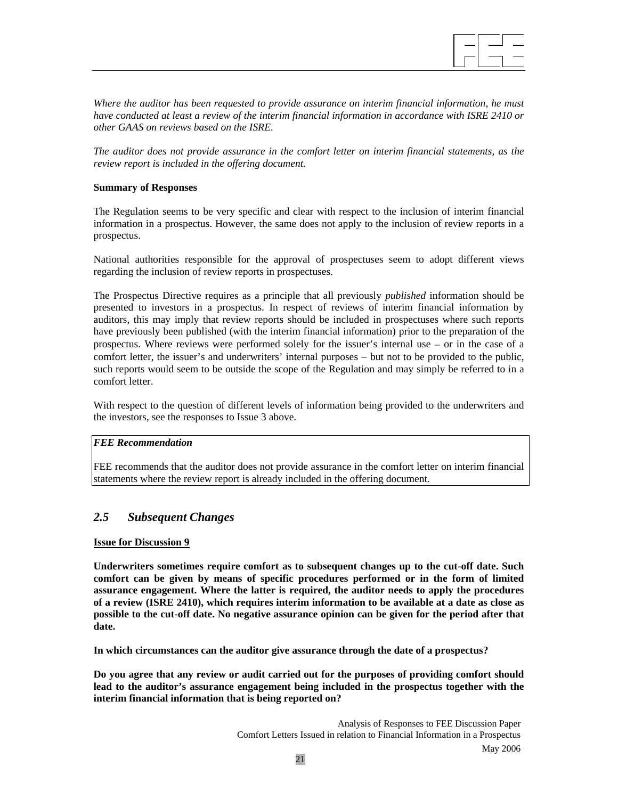

*Where the auditor has been requested to provide assurance on interim financial information, he must have conducted at least a review of the interim financial information in accordance with ISRE 2410 or other GAAS on reviews based on the ISRE.* 

*The auditor does not provide assurance in the comfort letter on interim financial statements, as the review report is included in the offering document.* 

## **Summary of Responses**

The Regulation seems to be very specific and clear with respect to the inclusion of interim financial information in a prospectus. However, the same does not apply to the inclusion of review reports in a prospectus.

National authorities responsible for the approval of prospectuses seem to adopt different views regarding the inclusion of review reports in prospectuses.

The Prospectus Directive requires as a principle that all previously *published* information should be presented to investors in a prospectus. In respect of reviews of interim financial information by auditors, this may imply that review reports should be included in prospectuses where such reports have previously been published (with the interim financial information) prior to the preparation of the prospectus. Where reviews were performed solely for the issuer's internal use − or in the case of a comfort letter, the issuer's and underwriters' internal purposes − but not to be provided to the public, such reports would seem to be outside the scope of the Regulation and may simply be referred to in a comfort letter.

With respect to the question of different levels of information being provided to the underwriters and the investors, see the responses to Issue 3 above.

#### *FEE Recommendation*

FEE recommends that the auditor does not provide assurance in the comfort letter on interim financial statements where the review report is already included in the offering document.

# *2.5 Subsequent Changes*

#### **Issue for Discussion 9**

**Underwriters sometimes require comfort as to subsequent changes up to the cut-off date. Such comfort can be given by means of specific procedures performed or in the form of limited assurance engagement. Where the latter is required, the auditor needs to apply the procedures of a review (ISRE 2410), which requires interim information to be available at a date as close as possible to the cut-off date. No negative assurance opinion can be given for the period after that date.** 

**In which circumstances can the auditor give assurance through the date of a prospectus?** 

**Do you agree that any review or audit carried out for the purposes of providing comfort should lead to the auditor's assurance engagement being included in the prospectus together with the interim financial information that is being reported on?**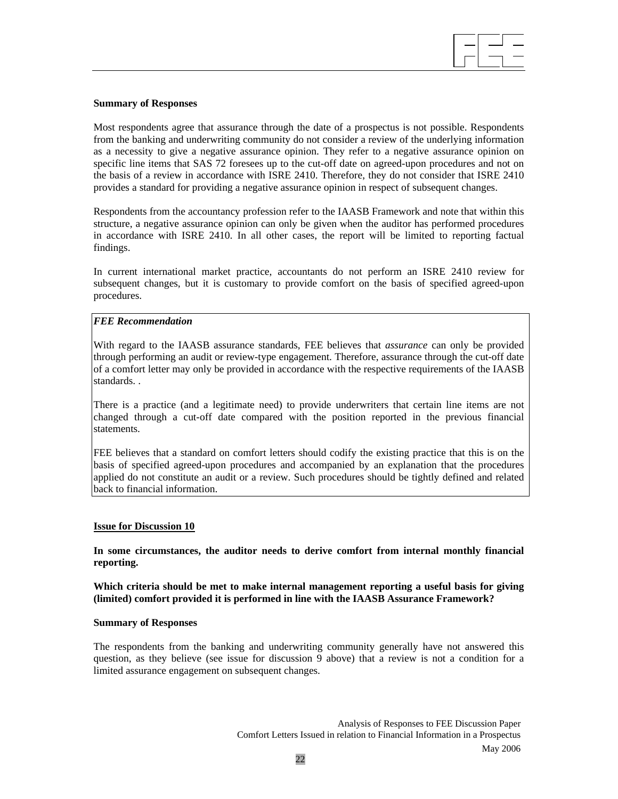

### **Summary of Responses**

Most respondents agree that assurance through the date of a prospectus is not possible. Respondents from the banking and underwriting community do not consider a review of the underlying information as a necessity to give a negative assurance opinion. They refer to a negative assurance opinion on specific line items that SAS 72 foresees up to the cut-off date on agreed-upon procedures and not on the basis of a review in accordance with ISRE 2410. Therefore, they do not consider that ISRE 2410 provides a standard for providing a negative assurance opinion in respect of subsequent changes.

Respondents from the accountancy profession refer to the IAASB Framework and note that within this structure, a negative assurance opinion can only be given when the auditor has performed procedures in accordance with ISRE 2410. In all other cases, the report will be limited to reporting factual findings.

In current international market practice, accountants do not perform an ISRE 2410 review for subsequent changes, but it is customary to provide comfort on the basis of specified agreed-upon procedures.

## *FEE Recommendation*

With regard to the IAASB assurance standards, FEE believes that *assurance* can only be provided through performing an audit or review-type engagement. Therefore, assurance through the cut-off date of a comfort letter may only be provided in accordance with the respective requirements of the IAASB standards. .

There is a practice (and a legitimate need) to provide underwriters that certain line items are not changed through a cut-off date compared with the position reported in the previous financial statements.

FEE believes that a standard on comfort letters should codify the existing practice that this is on the basis of specified agreed-upon procedures and accompanied by an explanation that the procedures applied do not constitute an audit or a review. Such procedures should be tightly defined and related back to financial information.

#### **Issue for Discussion 10**

## **In some circumstances, the auditor needs to derive comfort from internal monthly financial reporting.**

**Which criteria should be met to make internal management reporting a useful basis for giving (limited) comfort provided it is performed in line with the IAASB Assurance Framework?** 

#### **Summary of Responses**

The respondents from the banking and underwriting community generally have not answered this question, as they believe (see issue for discussion 9 above) that a review is not a condition for a limited assurance engagement on subsequent changes.